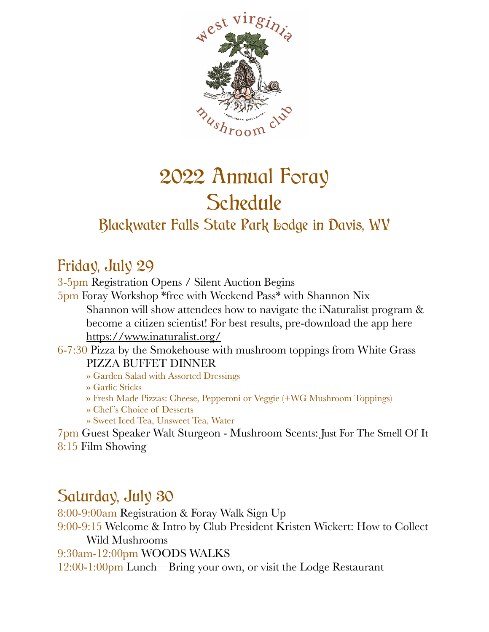

## 2022 Annual Foray **Schedule** Blackwater Falls State Park Lodge in Davis, WV

## Friday, July 29

3-5pm Registration Opens / Silent Auction Begins 5pm Foray Workshop \*free with Weekend Pass\* with Shannon Nix Shannon will show attendees how to navigate the iNaturalist program & become a citizen scientist! For best results, pre-download the app here <https://www.inaturalist.org/> 6-7:30 Pizza by the Smokehouse with mushroom toppings from White Grass PIZZA BUFFET DINNER » Garden Salad with Assorted Dressings » Garlic Sticks » Fresh Made Pizzas: Cheese, Pepperoni or Veggie (+WG Mushroom Toppings)

- » Chef 's Choice of Desserts
- » Sweet Iced Tea, Unsweet Tea, Water

7pm Guest Speaker Walt Sturgeon - Mushroom Scents: Just For The Smell Of It 8:15 Film Showing

## Saturday, July 30

8:00-9:00am Registration & Foray Walk Sign Up 9:00-9:15 Welcome & Intro by Club President Kristen Wickert: How to Collect Wild Mushrooms 9:30am-12:00pm WOODS WALKS 12:00-1:00pm Lunch—Bring your own, or visit the Lodge Restaurant